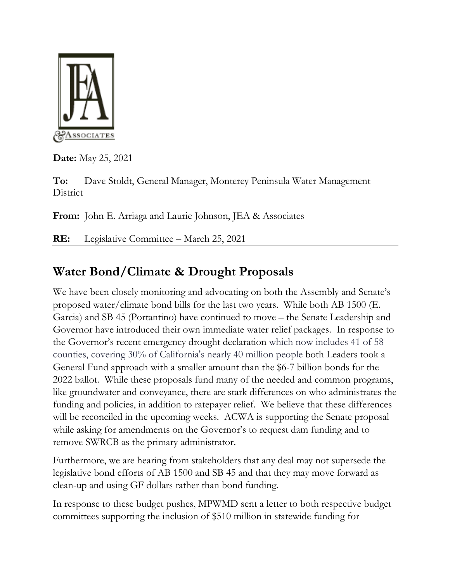

**Date:** May 25, 2021

**To:** Dave Stoldt, General Manager, Monterey Peninsula Water Management **District** 

**From:** John E. Arriaga and Laurie Johnson, JEA & Associates

**RE:** Legislative Committee – March 25, 2021

# **Water Bond/Climate & Drought Proposals**

We have been closely monitoring and advocating on both the Assembly and Senate's proposed water/climate bond bills for the last two years. While both AB 1500 (E. Garcia) and SB 45 (Portantino) have continued to move – the Senate Leadership and Governor have introduced their own immediate water relief packages. In response to the Governor's recent emergency drought declaration which now includes 41 of 58 counties, covering 30% of California's nearly 40 million people both Leaders took a General Fund approach with a smaller amount than the \$6-7 billion bonds for the 2022 ballot. While these proposals fund many of the needed and common programs, like groundwater and conveyance, there are stark differences on who administrates the funding and policies, in addition to ratepayer relief. We believe that these differences will be reconciled in the upcoming weeks. ACWA is supporting the Senate proposal while asking for amendments on the Governor's to request dam funding and to remove SWRCB as the primary administrator.

Furthermore, we are hearing from stakeholders that any deal may not supersede the legislative bond efforts of AB 1500 and SB 45 and that they may move forward as clean-up and using GF dollars rather than bond funding.

In response to these budget pushes, MPWMD sent a letter to both respective budget committees supporting the inclusion of \$510 million in statewide funding for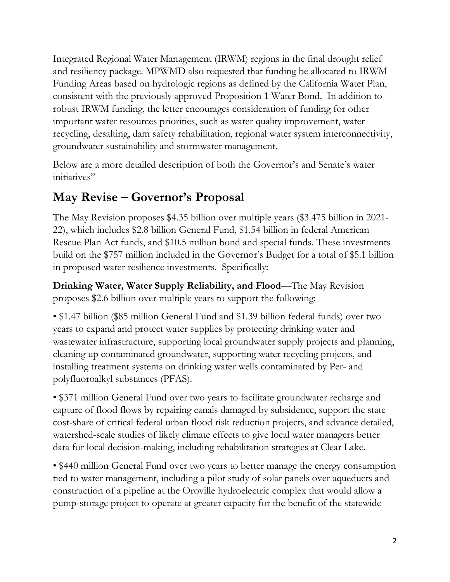Integrated Regional Water Management (IRWM) regions in the final drought relief and resiliency package. MPWMD also requested that funding be allocated to IRWM Funding Areas based on hydrologic regions as defined by the California Water Plan, consistent with the previously approved Proposition 1 Water Bond. In addition to robust IRWM funding, the letter encourages consideration of funding for other important water resources priorities, such as water quality improvement, water recycling, desalting, dam safety rehabilitation, regional water system interconnectivity, groundwater sustainability and stormwater management.

Below are a more detailed description of both the Governor's and Senate's water initiatives"

# **May Revise – Governor's Proposal**

The May Revision proposes \$4.35 billion over multiple years (\$3.475 billion in 2021- 22), which includes \$2.8 billion General Fund, \$1.54 billion in federal American Rescue Plan Act funds, and \$10.5 million bond and special funds. These investments build on the \$757 million included in the Governor's Budget for a total of \$5.1 billion in proposed water resilience investments. Specifically:

**Drinking Water, Water Supply Reliability, and Flood**—The May Revision proposes \$2.6 billion over multiple years to support the following:

• \$1.47 billion (\$85 million General Fund and \$1.39 billion federal funds) over two years to expand and protect water supplies by protecting drinking water and wastewater infrastructure, supporting local groundwater supply projects and planning, cleaning up contaminated groundwater, supporting water recycling projects, and installing treatment systems on drinking water wells contaminated by Per- and polyfluoroalkyl substances (PFAS).

• \$371 million General Fund over two years to facilitate groundwater recharge and capture of flood flows by repairing canals damaged by subsidence, support the state cost-share of critical federal urban flood risk reduction projects, and advance detailed, watershed-scale studies of likely climate effects to give local water managers better data for local decision-making, including rehabilitation strategies at Clear Lake.

• \$440 million General Fund over two years to better manage the energy consumption tied to water management, including a pilot study of solar panels over aqueducts and construction of a pipeline at the Oroville hydroelectric complex that would allow a pump-storage project to operate at greater capacity for the benefit of the statewide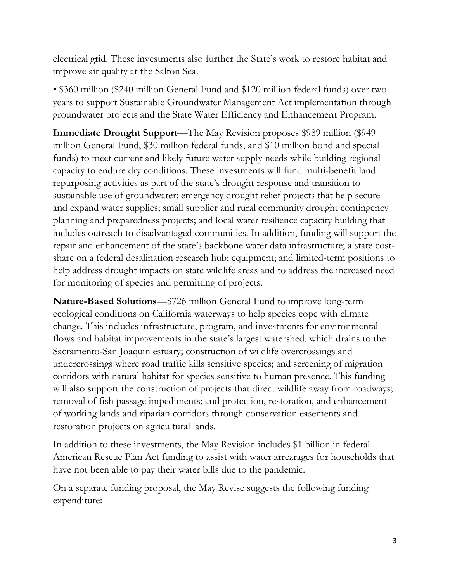electrical grid. These investments also further the State's work to restore habitat and improve air quality at the Salton Sea.

• \$360 million (\$240 million General Fund and \$120 million federal funds) over two years to support Sustainable Groundwater Management Act implementation through groundwater projects and the State Water Efficiency and Enhancement Program.

**Immediate Drought Support**—The May Revision proposes \$989 million (\$949 million General Fund, \$30 million federal funds, and \$10 million bond and special funds) to meet current and likely future water supply needs while building regional capacity to endure dry conditions. These investments will fund multi-benefit land repurposing activities as part of the state's drought response and transition to sustainable use of groundwater; emergency drought relief projects that help secure and expand water supplies; small supplier and rural community drought contingency planning and preparedness projects; and local water resilience capacity building that includes outreach to disadvantaged communities. In addition, funding will support the repair and enhancement of the state's backbone water data infrastructure; a state costshare on a federal desalination research hub; equipment; and limited-term positions to help address drought impacts on state wildlife areas and to address the increased need for monitoring of species and permitting of projects.

**Nature-Based Solutions**—\$726 million General Fund to improve long-term ecological conditions on California waterways to help species cope with climate change. This includes infrastructure, program, and investments for environmental flows and habitat improvements in the state's largest watershed, which drains to the Sacramento-San Joaquin estuary; construction of wildlife overcrossings and undercrossings where road traffic kills sensitive species; and screening of migration corridors with natural habitat for species sensitive to human presence. This funding will also support the construction of projects that direct wildlife away from roadways; removal of fish passage impediments; and protection, restoration, and enhancement of working lands and riparian corridors through conservation easements and restoration projects on agricultural lands.

In addition to these investments, the May Revision includes \$1 billion in federal American Rescue Plan Act funding to assist with water arrearages for households that have not been able to pay their water bills due to the pandemic.

On a separate funding proposal, the May Revise suggests the following funding expenditure: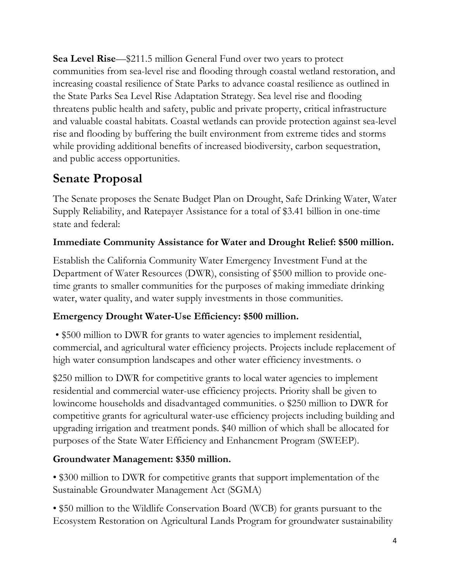**Sea Level Rise**—\$211.5 million General Fund over two years to protect communities from sea-level rise and flooding through coastal wetland restoration, and increasing coastal resilience of State Parks to advance coastal resilience as outlined in the State Parks Sea Level Rise Adaptation Strategy. Sea level rise and flooding threatens public health and safety, public and private property, critical infrastructure and valuable coastal habitats. Coastal wetlands can provide protection against sea-level rise and flooding by buffering the built environment from extreme tides and storms while providing additional benefits of increased biodiversity, carbon sequestration, and public access opportunities.

# **Senate Proposal**

The Senate proposes the Senate Budget Plan on Drought, Safe Drinking Water, Water Supply Reliability, and Ratepayer Assistance for a total of \$3.41 billion in one-time state and federal:

## **Immediate Community Assistance for Water and Drought Relief: \$500 million.**

Establish the California Community Water Emergency Investment Fund at the Department of Water Resources (DWR), consisting of \$500 million to provide onetime grants to smaller communities for the purposes of making immediate drinking water, water quality, and water supply investments in those communities.

## **Emergency Drought Water-Use Efficiency: \$500 million.**

• \$500 million to DWR for grants to water agencies to implement residential, commercial, and agricultural water efficiency projects. Projects include replacement of high water consumption landscapes and other water efficiency investments. o

\$250 million to DWR for competitive grants to local water agencies to implement residential and commercial water-use efficiency projects. Priority shall be given to lowincome households and disadvantaged communities. o \$250 million to DWR for competitive grants for agricultural water-use efficiency projects including building and upgrading irrigation and treatment ponds. \$40 million of which shall be allocated for purposes of the State Water Efficiency and Enhancment Program (SWEEP).

## **Groundwater Management: \$350 million.**

• \$300 million to DWR for competitive grants that support implementation of the Sustainable Groundwater Management Act (SGMA)

• \$50 million to the Wildlife Conservation Board (WCB) for grants pursuant to the Ecosystem Restoration on Agricultural Lands Program for groundwater sustainability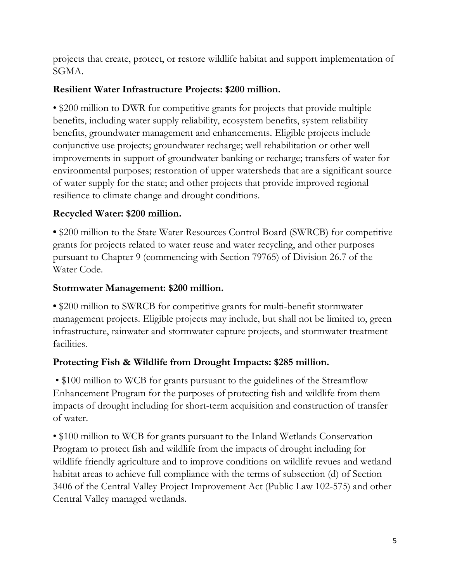projects that create, protect, or restore wildlife habitat and support implementation of SGMA.

#### **Resilient Water Infrastructure Projects: \$200 million.**

• \$200 million to DWR for competitive grants for projects that provide multiple benefits, including water supply reliability, ecosystem benefits, system reliability benefits, groundwater management and enhancements. Eligible projects include conjunctive use projects; groundwater recharge; well rehabilitation or other well improvements in support of groundwater banking or recharge; transfers of water for environmental purposes; restoration of upper watersheds that are a significant source of water supply for the state; and other projects that provide improved regional resilience to climate change and drought conditions.

#### **Recycled Water: \$200 million.**

**•** \$200 million to the State Water Resources Control Board (SWRCB) for competitive grants for projects related to water reuse and water recycling, and other purposes pursuant to Chapter 9 (commencing with Section 79765) of Division 26.7 of the Water Code.

#### **Stormwater Management: \$200 million.**

**•** \$200 million to SWRCB for competitive grants for multi-benefit stormwater management projects. Eligible projects may include, but shall not be limited to, green infrastructure, rainwater and stormwater capture projects, and stormwater treatment facilities.

#### **Protecting Fish & Wildlife from Drought Impacts: \$285 million.**

• \$100 million to WCB for grants pursuant to the guidelines of the Streamflow Enhancement Program for the purposes of protecting fish and wildlife from them impacts of drought including for short-term acquisition and construction of transfer of water.

• \$100 million to WCB for grants pursuant to the Inland Wetlands Conservation Program to protect fish and wildlife from the impacts of drought including for wildlife friendly agriculture and to improve conditions on wildlife revues and wetland habitat areas to achieve full compliance with the terms of subsection (d) of Section 3406 of the Central Valley Project Improvement Act (Public Law 102-575) and other Central Valley managed wetlands.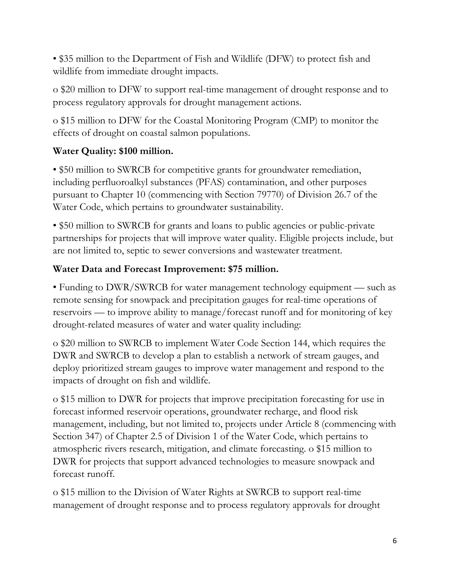• \$35 million to the Department of Fish and Wildlife (DFW) to protect fish and wildlife from immediate drought impacts.

o \$20 million to DFW to support real-time management of drought response and to process regulatory approvals for drought management actions.

o \$15 million to DFW for the Coastal Monitoring Program (CMP) to monitor the effects of drought on coastal salmon populations.

#### **Water Quality: \$100 million.**

• \$50 million to SWRCB for competitive grants for groundwater remediation, including perfluoroalkyl substances (PFAS) contamination, and other purposes pursuant to Chapter 10 (commencing with Section 79770) of Division 26.7 of the Water Code, which pertains to groundwater sustainability.

• \$50 million to SWRCB for grants and loans to public agencies or public-private partnerships for projects that will improve water quality. Eligible projects include, but are not limited to, septic to sewer conversions and wastewater treatment.

#### **Water Data and Forecast Improvement: \$75 million.**

• Funding to DWR/SWRCB for water management technology equipment — such as remote sensing for snowpack and precipitation gauges for real-time operations of reservoirs — to improve ability to manage/forecast runoff and for monitoring of key drought-related measures of water and water quality including:

o \$20 million to SWRCB to implement Water Code Section 144, which requires the DWR and SWRCB to develop a plan to establish a network of stream gauges, and deploy prioritized stream gauges to improve water management and respond to the impacts of drought on fish and wildlife.

o \$15 million to DWR for projects that improve precipitation forecasting for use in forecast informed reservoir operations, groundwater recharge, and flood risk management, including, but not limited to, projects under Article 8 (commencing with Section 347) of Chapter 2.5 of Division 1 of the Water Code, which pertains to atmospheric rivers research, mitigation, and climate forecasting. o \$15 million to DWR for projects that support advanced technologies to measure snowpack and forecast runoff.

o \$15 million to the Division of Water Rights at SWRCB to support real-time management of drought response and to process regulatory approvals for drought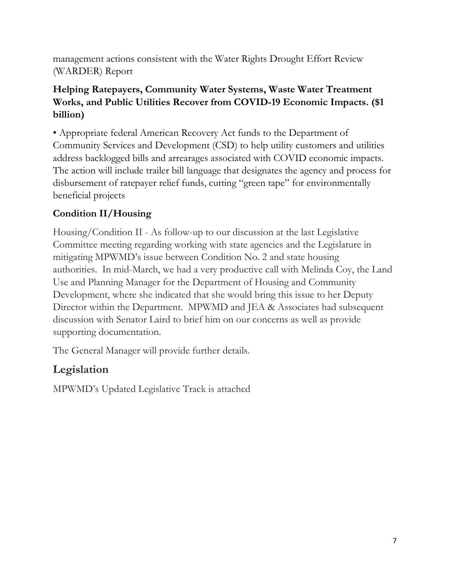management actions consistent with the Water Rights Drought Effort Review (WARDER) Report

#### **Helping Ratepayers, Community Water Systems, Waste Water Treatment Works, and Public Utilities Recover from COVID-19 Economic Impacts. (\$1 billion)**

• Appropriate federal American Recovery Act funds to the Department of Community Services and Development (CSD) to help utility customers and utilities address backlogged bills and arrearages associated with COVID economic impacts. The action will include trailer bill language that designates the agency and process for disbursement of ratepayer relief funds, cutting "green tape" for environmentally beneficial projects

## **Condition II/Housing**

Housing/Condition II - As follow-up to our discussion at the last Legislative Committee meeting regarding working with state agencies and the Legislature in mitigating MPWMD's issue between Condition No. 2 and state housing authorities. In mid-March, we had a very productive call with Melinda Coy, the Land Use and Planning Manager for the Department of Housing and Community Development, where she indicated that she would bring this issue to her Deputy Director within the Department. MPWMD and JEA & Associates had subsequent discussion with Senator Laird to brief him on our concerns as well as provide supporting documentation.

The General Manager will provide further details.

## **Legislation**

MPWMD's Updated Legislative Track is attached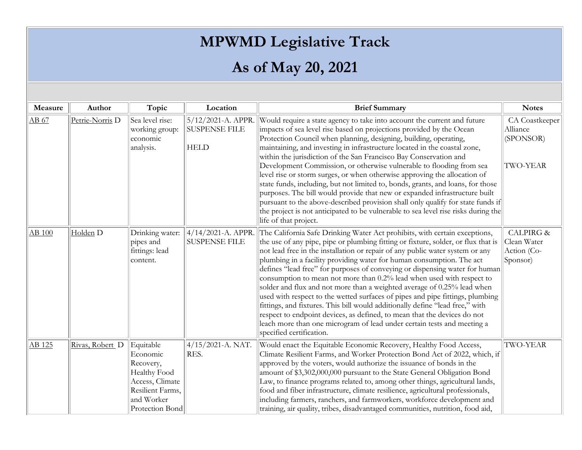# **MPWMD Legislative Track**

# **As of May 20, 2021**

| Measure       | Author                     |                                                                                                                            | Location                                                  | <b>Brief Summary</b>                                                                                                                                                                                                                                                                                                                                                                                                                                                                                                                                                                                                                                                                                                                                                                                                                                                                                              | <b>Notes</b>                                                   |
|---------------|----------------------------|----------------------------------------------------------------------------------------------------------------------------|-----------------------------------------------------------|-------------------------------------------------------------------------------------------------------------------------------------------------------------------------------------------------------------------------------------------------------------------------------------------------------------------------------------------------------------------------------------------------------------------------------------------------------------------------------------------------------------------------------------------------------------------------------------------------------------------------------------------------------------------------------------------------------------------------------------------------------------------------------------------------------------------------------------------------------------------------------------------------------------------|----------------------------------------------------------------|
|               |                            | Topic                                                                                                                      |                                                           |                                                                                                                                                                                                                                                                                                                                                                                                                                                                                                                                                                                                                                                                                                                                                                                                                                                                                                                   |                                                                |
| AB 67         | Petrie-Norris <sub>D</sub> | Sea level rise:<br>working group:<br>economic<br>analysis.                                                                 | 5/12/2021-A. APPR.<br><b>SUSPENSE FILE</b><br><b>HELD</b> | Would require a state agency to take into account the current and future<br>impacts of sea level rise based on projections provided by the Ocean<br>Protection Council when planning, designing, building, operating,<br>maintaining, and investing in infrastructure located in the coastal zone,<br>within the jurisdiction of the San Francisco Bay Conservation and<br>Development Commission, or otherwise vulnerable to flooding from sea<br>level rise or storm surges, or when otherwise approving the allocation of<br>state funds, including, but not limited to, bonds, grants, and loans, for those<br>purposes. The bill would provide that new or expanded infrastructure built<br>pursuant to the above-described provision shall only qualify for state funds if<br>the project is not anticipated to be vulnerable to sea level rise risks during the<br>life of that project.                   | CA Coastkeeper<br>Alliance<br>(SPONSOR)<br><b>TWO-YEAR</b>     |
| <b>AB 100</b> | Holden <sub>D</sub>        | Drinking water:<br>pipes and<br>fittings: lead<br>content.                                                                 | $4/14/2021$ -A. APPR.<br><b>SUSPENSE FILE</b>             | The California Safe Drinking Water Act prohibits, with certain exceptions,<br>the use of any pipe, pipe or plumbing fitting or fixture, solder, or flux that is<br>not lead free in the installation or repair of any public water system or any<br>plumbing in a facility providing water for human consumption. The act<br>defines "lead free" for purposes of conveying or dispensing water for human<br>consumption to mean not more than 0.2% lead when used with respect to<br>solder and flux and not more than a weighted average of 0.25% lead when<br>used with respect to the wetted surfaces of pipes and pipe fittings, plumbing<br>fittings, and fixtures. This bill would additionally define "lead free," with<br>respect to endpoint devices, as defined, to mean that the devices do not<br>leach more than one microgram of lead under certain tests and meeting a<br>specified certification. | <b>CALPIRG &amp;</b><br>Clean Water<br>Action (Co-<br>Sponsor) |
| AB 125        | Rivas, Robert D            | Equitable<br>Economic<br>Recovery,<br>Healthy Food<br>Access, Climate<br>Resilient Farms,<br>and Worker<br>Protection Bond | $4/15/2021$ -A. NAT.<br>RES.                              | Would enact the Equitable Economic Recovery, Healthy Food Access,<br>Climate Resilient Farms, and Worker Protection Bond Act of 2022, which, if<br>approved by the voters, would authorize the issuance of bonds in the<br>amount of \$3,302,000,000 pursuant to the State General Obligation Bond<br>Law, to finance programs related to, among other things, agricultural lands,<br>food and fiber infrastructure, climate resilience, agricultural professionals,<br>including farmers, ranchers, and farmworkers, workforce development and<br>training, air quality, tribes, disadvantaged communities, nutrition, food aid,                                                                                                                                                                                                                                                                                 | TWO-YEAR                                                       |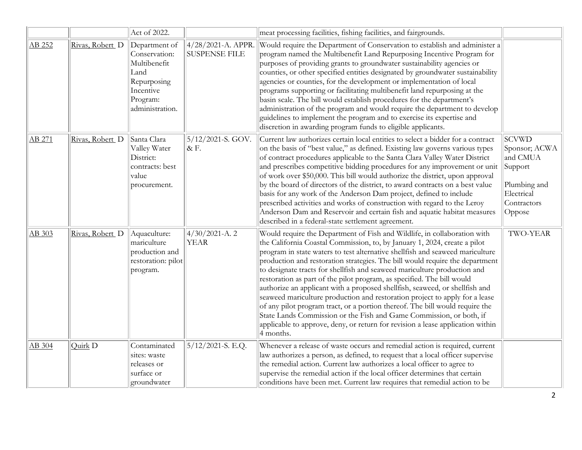|        |                 | Act of 2022.                                                                                                      |                                            | meat processing facilities, fishing facilities, and fairgrounds.                                                                                                                                                                                                                                                                                                                                                                                                                                                                                                                                                                                                                                                                                                                                                                                                                                 |                                                                                                             |
|--------|-----------------|-------------------------------------------------------------------------------------------------------------------|--------------------------------------------|--------------------------------------------------------------------------------------------------------------------------------------------------------------------------------------------------------------------------------------------------------------------------------------------------------------------------------------------------------------------------------------------------------------------------------------------------------------------------------------------------------------------------------------------------------------------------------------------------------------------------------------------------------------------------------------------------------------------------------------------------------------------------------------------------------------------------------------------------------------------------------------------------|-------------------------------------------------------------------------------------------------------------|
| AB 252 | Rivas, Robert D | Department of<br>Conservation:<br>Multibenefit<br>Land<br>Repurposing<br>Incentive<br>Program:<br>administration. | 4/28/2021-A. APPR.<br><b>SUSPENSE FILE</b> | Would require the Department of Conservation to establish and administer a<br>program named the Multibenefit Land Repurposing Incentive Program for<br>purposes of providing grants to groundwater sustainability agencies or<br>counties, or other specified entities designated by groundwater sustainability<br>agencies or counties, for the development or implementation of local<br>programs supporting or facilitating multibenefit land repurposing at the<br>basin scale. The bill would establish procedures for the department's<br>administration of the program and would require the department to develop<br>guidelines to implement the program and to exercise its expertise and<br>discretion in awarding program funds to eligible applicants.                                                                                                                               |                                                                                                             |
| AB 271 | Rivas, Robert D | Santa Clara<br>Valley Water<br>District:<br>contracts: best<br>value<br>procurement.                              | $5/12/2021$ -S. GOV.<br>$\&$ F.            | Current law authorizes certain local entities to select a bidder for a contract<br>on the basis of "best value," as defined. Existing law governs various types<br>of contract procedures applicable to the Santa Clara Valley Water District<br>and prescribes competitive bidding procedures for any improvement or unit<br>of work over \$50,000. This bill would authorize the district, upon approval<br>by the board of directors of the district, to award contracts on a best value<br>basis for any work of the Anderson Dam project, defined to include<br>prescribed activities and works of construction with regard to the Leroy<br>Anderson Dam and Reservoir and certain fish and aquatic habitat measures<br>described in a federal-state settlement agreement.                                                                                                                  | <b>SCVWD</b><br>Sponsor; ACWA<br>and CMUA<br>Support<br>Plumbing and<br>Electrical<br>Contractors<br>Oppose |
| AB 303 | Rivas, Robert D | Aquaculture:<br>mariculture<br>production and<br>restoration: pilot<br>program.                                   | $4/30/2021-A.2$<br><b>YEAR</b>             | Would require the Department of Fish and Wildlife, in collaboration with<br>the California Coastal Commission, to, by January 1, 2024, create a pilot<br>program in state waters to test alternative shellfish and seaweed mariculture<br>production and restoration strategies. The bill would require the department<br>to designate tracts for shellfish and seaweed mariculture production and<br>restoration as part of the pilot program, as specified. The bill would<br>authorize an applicant with a proposed shellfish, seaweed, or shellfish and<br>seaweed mariculture production and restoration project to apply for a lease<br>of any pilot program tract, or a portion thereof. The bill would require the<br>State Lands Commission or the Fish and Game Commission, or both, if<br>applicable to approve, deny, or return for revision a lease application within<br>4 months. | TWO-YEAR                                                                                                    |
| AB 304 | Quirk D         | Contaminated<br>sites: waste<br>releases or<br>surface or<br>groundwater                                          | $5/12/2021-S. E.Q.$                        | Whenever a release of waste occurs and remedial action is required, current<br>law authorizes a person, as defined, to request that a local officer supervise<br>the remedial action. Current law authorizes a local officer to agree to<br>supervise the remedial action if the local officer determines that certain<br>conditions have been met. Current law requires that remedial action to be                                                                                                                                                                                                                                                                                                                                                                                                                                                                                              |                                                                                                             |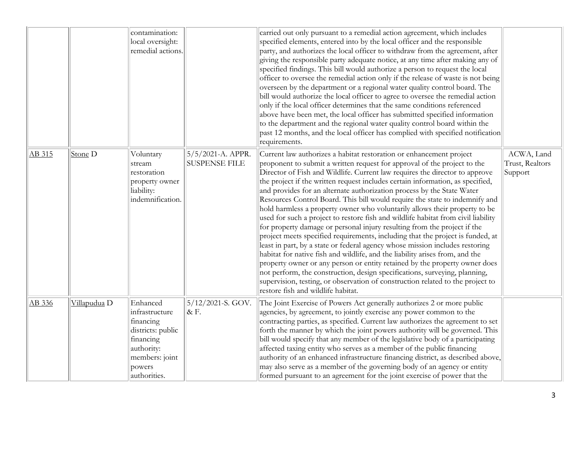|        |                         | contamination:<br>local oversight:<br>remedial actions.                                                                             |                                           | carried out only pursuant to a remedial action agreement, which includes<br>specified elements, entered into by the local officer and the responsible<br>party, and authorizes the local officer to withdraw from the agreement, after<br>giving the responsible party adequate notice, at any time after making any of<br>specified findings. This bill would authorize a person to request the local<br>officer to oversee the remedial action only if the release of waste is not being<br>overseen by the department or a regional water quality control board. The<br>bill would authorize the local officer to agree to oversee the remedial action<br>only if the local officer determines that the same conditions referenced<br>above have been met, the local officer has submitted specified information<br>to the department and the regional water quality control board within the<br>past 12 months, and the local officer has complied with specified notification<br>requirements.                                                                                                                                                                                                                                                            |                                          |
|--------|-------------------------|-------------------------------------------------------------------------------------------------------------------------------------|-------------------------------------------|----------------------------------------------------------------------------------------------------------------------------------------------------------------------------------------------------------------------------------------------------------------------------------------------------------------------------------------------------------------------------------------------------------------------------------------------------------------------------------------------------------------------------------------------------------------------------------------------------------------------------------------------------------------------------------------------------------------------------------------------------------------------------------------------------------------------------------------------------------------------------------------------------------------------------------------------------------------------------------------------------------------------------------------------------------------------------------------------------------------------------------------------------------------------------------------------------------------------------------------------------------------|------------------------------------------|
| AB 315 | Stone D                 | Voluntary<br>stream<br>restoration<br>property owner<br>liability:<br>indemnification.                                              | 5/5/2021-A. APPR.<br><b>SUSPENSE FILE</b> | Current law authorizes a habitat restoration or enhancement project<br>proponent to submit a written request for approval of the project to the<br>Director of Fish and Wildlife. Current law requires the director to approve<br>the project if the written request includes certain information, as specified,<br>and provides for an alternate authorization process by the State Water<br>Resources Control Board. This bill would require the state to indemnify and<br>hold harmless a property owner who voluntarily allows their property to be<br>used for such a project to restore fish and wildlife habitat from civil liability<br>for property damage or personal injury resulting from the project if the<br>project meets specified requirements, including that the project is funded, at<br>least in part, by a state or federal agency whose mission includes restoring<br>habitat for native fish and wildlife, and the liability arises from, and the<br>property owner or any person or entity retained by the property owner does<br>not perform, the construction, design specifications, surveying, planning,<br>supervision, testing, or observation of construction related to the project to<br>restore fish and wildlife habitat. | ACWA, Land<br>Trust, Realtors<br>Support |
| AB 336 | Villapudua <sub>D</sub> | Enhanced<br>infrastructure<br>financing<br>districts: public<br>financing<br>authority:<br>members: joint<br>powers<br>authorities. | 5/12/2021-S. GOV.<br>& F.                 | The Joint Exercise of Powers Act generally authorizes 2 or more public<br>agencies, by agreement, to jointly exercise any power common to the<br>contracting parties, as specified. Current law authorizes the agreement to set<br>forth the manner by which the joint powers authority will be governed. This<br>bill would specify that any member of the legislative body of a participating<br>affected taxing entity who serves as a member of the public financing<br>authority of an enhanced infrastructure financing district, as described above,<br>may also serve as a member of the governing body of an agency or entity<br>formed pursuant to an agreement for the joint exercise of power that the                                                                                                                                                                                                                                                                                                                                                                                                                                                                                                                                             |                                          |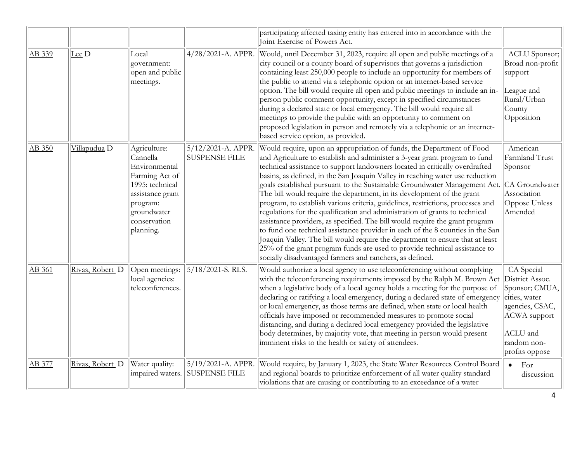|        |                        |                                                                                                                                                            |                                            | participating affected taxing entity has entered into in accordance with the<br>Joint Exercise of Powers Act.                                                                                                                                                                                                                                                                                                                                                                                                                                                                                                                                                                                                                                                                                                                                                                                                                                                                                                                              |                                                                                                                                                         |
|--------|------------------------|------------------------------------------------------------------------------------------------------------------------------------------------------------|--------------------------------------------|--------------------------------------------------------------------------------------------------------------------------------------------------------------------------------------------------------------------------------------------------------------------------------------------------------------------------------------------------------------------------------------------------------------------------------------------------------------------------------------------------------------------------------------------------------------------------------------------------------------------------------------------------------------------------------------------------------------------------------------------------------------------------------------------------------------------------------------------------------------------------------------------------------------------------------------------------------------------------------------------------------------------------------------------|---------------------------------------------------------------------------------------------------------------------------------------------------------|
| AB 339 | Lee D                  | Local<br>government:<br>open and public<br>meetings.                                                                                                       | 4/28/2021-A. APPR.                         | Would, until December 31, 2023, require all open and public meetings of a<br>city council or a county board of supervisors that governs a jurisdiction<br>containing least 250,000 people to include an opportunity for members of<br>the public to attend via a telephonic option or an internet-based service<br>option. The bill would require all open and public meetings to include an in-<br>person public comment opportunity, except in specified circumstances<br>during a declared state or local emergency. The bill would require all<br>meetings to provide the public with an opportunity to comment on<br>proposed legislation in person and remotely via a telephonic or an internet-<br>based service option, as provided.                                                                                                                                                                                                                                                                                               | ACLU Sponsor;<br>Broad non-profit<br>support<br>League and<br>Rural/Urban<br>County<br>Opposition                                                       |
| AB 350 | Villapudua D           | Agriculture:<br>Cannella<br>Environmental<br>Farming Act of<br>1995: technical<br>assistance grant<br>program:<br>groundwater<br>conservation<br>planning. | 5/12/2021-A. APPR.<br><b>SUSPENSE FILE</b> | Would require, upon an appropriation of funds, the Department of Food<br>and Agriculture to establish and administer a 3-year grant program to fund<br>technical assistance to support landowners located in critically overdrafted<br>basins, as defined, in the San Joaquin Valley in reaching water use reduction<br>goals established pursuant to the Sustainable Groundwater Management Act.<br>The bill would require the department, in its development of the grant<br>program, to establish various criteria, guidelines, restrictions, processes and<br>regulations for the qualification and administration of grants to technical<br>assistance providers, as specified. The bill would require the grant program<br>to fund one technical assistance provider in each of the 8 counties in the San<br>Joaquin Valley. The bill would require the department to ensure that at least<br>25% of the grant program funds are used to provide technical assistance to<br>socially disadvantaged farmers and ranchers, as defined. | American<br>Farmland Trust<br>Sponsor<br>CA Groundwater<br>Association<br>Oppose Unless<br>Amended                                                      |
| AB 361 | <u>Rivas, Robert</u> D | Open meetings:<br>local agencies:<br>teleconferences.                                                                                                      | 5/18/2021-S. RLS.                          | Would authorize a local agency to use teleconferencing without complying<br>with the teleconferencing requirements imposed by the Ralph M. Brown Act<br>when a legislative body of a local agency holds a meeting for the purpose of<br>declaring or ratifying a local emergency, during a declared state of emergency<br>or local emergency, as those terms are defined, when state or local health<br>officials have imposed or recommended measures to promote social<br>distancing, and during a declared local emergency provided the legislative<br>body determines, by majority vote, that meeting in person would present<br>imminent risks to the health or safety of attendees.                                                                                                                                                                                                                                                                                                                                                  | CA Special<br>District Assoc.<br>Sponsor; CMUA,<br>cities, water<br>agencies, CSAC,<br><b>ACWA</b> support<br>ACLU and<br>random non-<br>profits oppose |
| AB 377 | <u>Rivas, Robert</u> D | Water quality:<br>impaired waters.                                                                                                                         | 5/19/2021-A. APPR.<br><b>SUSPENSE FILE</b> | Would require, by January 1, 2023, the State Water Resources Control Board<br>and regional boards to prioritize enforcement of all water quality standard<br>violations that are causing or contributing to an exceedance of a water                                                                                                                                                                                                                                                                                                                                                                                                                                                                                                                                                                                                                                                                                                                                                                                                       | For<br>$\bullet$<br>discussion                                                                                                                          |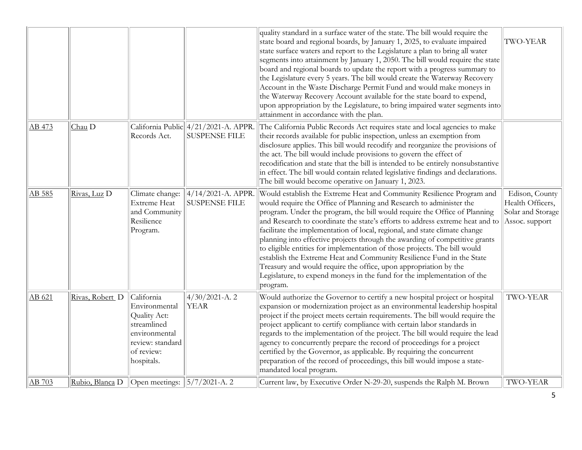|        |                 |                                                                                                                             |                                                              | quality standard in a surface water of the state. The bill would require the<br>state board and regional boards, by January 1, 2025, to evaluate impaired<br>state surface waters and report to the Legislature a plan to bring all water<br>segments into attainment by January 1, 2050. The bill would require the state<br>board and regional boards to update the report with a progress summary to<br>the Legislature every 5 years. The bill would create the Waterway Recovery<br>Account in the Waste Discharge Permit Fund and would make moneys in<br>the Waterway Recovery Account available for the state board to expend,<br>upon appropriation by the Legislature, to bring impaired water segments into<br>attainment in accordance with the plan.                        | <b>TWO-YEAR</b>                                                           |
|--------|-----------------|-----------------------------------------------------------------------------------------------------------------------------|--------------------------------------------------------------|------------------------------------------------------------------------------------------------------------------------------------------------------------------------------------------------------------------------------------------------------------------------------------------------------------------------------------------------------------------------------------------------------------------------------------------------------------------------------------------------------------------------------------------------------------------------------------------------------------------------------------------------------------------------------------------------------------------------------------------------------------------------------------------|---------------------------------------------------------------------------|
| AB 473 | Chau D          | Records Act.                                                                                                                | California Public 4/21/2021-A. APPR.<br><b>SUSPENSE FILE</b> | The California Public Records Act requires state and local agencies to make<br>their records available for public inspection, unless an exemption from<br>disclosure applies. This bill would recodify and reorganize the provisions of<br>the act. The bill would include provisions to govern the effect of<br>recodification and state that the bill is intended to be entirely nonsubstantive<br>in effect. The bill would contain related legislative findings and declarations.<br>The bill would become operative on January 1, 2023.                                                                                                                                                                                                                                             |                                                                           |
| AB 585 | Rivas, Luz D    | Climate change:<br><b>Extreme Heat</b><br>and Community<br>Resilience<br>Program.                                           | $4/14/2021$ -A. APPR.<br><b>SUSPENSE FILE</b>                | Would establish the Extreme Heat and Community Resilience Program and<br>would require the Office of Planning and Research to administer the<br>program. Under the program, the bill would require the Office of Planning<br>and Research to coordinate the state's efforts to address extreme heat and to<br>facilitate the implementation of local, regional, and state climate change<br>planning into effective projects through the awarding of competitive grants<br>to eligible entities for implementation of those projects. The bill would<br>establish the Extreme Heat and Community Resilience Fund in the State<br>Treasury and would require the office, upon appropriation by the<br>Legislature, to expend moneys in the fund for the implementation of the<br>program. | Edison, County<br>Health Officers,<br>Solar and Storage<br>Assoc. support |
| AB 621 | Rivas, Robert D | California<br>Environmental<br>Quality Act:<br>streamlined<br>environmental<br>review: standard<br>of review:<br>hospitals. | $4/30/2021-A.2$<br><b>YEAR</b>                               | Would authorize the Governor to certify a new hospital project or hospital<br>expansion or modernization project as an environmental leadership hospital<br>project if the project meets certain requirements. The bill would require the<br>project applicant to certify compliance with certain labor standards in<br>regards to the implementation of the project. The bill would require the lead<br>agency to concurrently prepare the record of proceedings for a project<br>certified by the Governor, as applicable. By requiring the concurrent<br>preparation of the record of proceedings, this bill would impose a state-<br>mandated local program.                                                                                                                         | TWO-YEAR                                                                  |
| AB 703 | Rubio, Blanca D | Open meetings: $\left  \frac{5}{7} \right  \approx 221$ -A. 2                                                               |                                                              | Current law, by Executive Order N-29-20, suspends the Ralph M. Brown                                                                                                                                                                                                                                                                                                                                                                                                                                                                                                                                                                                                                                                                                                                     | <b>TWO-YEAR</b>                                                           |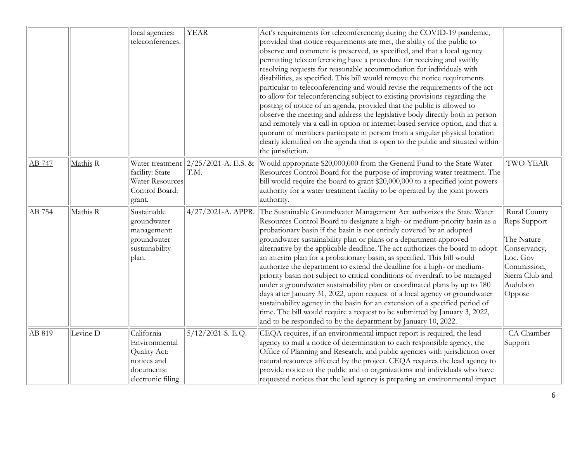|        |          | local agencies:<br>teleconferences.                                                           | <b>YEAR</b>                                                                    | Act's requirements for teleconferencing during the COVID-19 pandemic,<br>provided that notice requirements are met, the ability of the public to<br>observe and comment is preserved, as specified, and that a local agency<br>permitting teleconferencing have a procedure for receiving and swiftly<br>resolving requests for reasonable accommodation for individuals with<br>disabilities, as specified. This bill would remove the notice requirements<br>particular to teleconferencing and would revise the requirements of the act<br>to allow for teleconferencing subject to existing provisions regarding the<br>posting of notice of an agenda, provided that the public is allowed to<br>observe the meeting and address the legislative body directly both in person<br>and remotely via a call-in option or internet-based service option, and that a<br>quorum of members participate in person from a singular physical location<br>clearly identified on the agenda that is open to the public and situated within<br>the jurisdiction. |                                                                                                                               |
|--------|----------|-----------------------------------------------------------------------------------------------|--------------------------------------------------------------------------------|-----------------------------------------------------------------------------------------------------------------------------------------------------------------------------------------------------------------------------------------------------------------------------------------------------------------------------------------------------------------------------------------------------------------------------------------------------------------------------------------------------------------------------------------------------------------------------------------------------------------------------------------------------------------------------------------------------------------------------------------------------------------------------------------------------------------------------------------------------------------------------------------------------------------------------------------------------------------------------------------------------------------------------------------------------------|-------------------------------------------------------------------------------------------------------------------------------|
| AB 747 | Mathis R | facility: State<br><b>Water Resources</b><br>Control Board:<br>grant.                         | Water treatment $\left  \frac{2}{25}/\frac{2021}{-A} \right $ . E.S. &<br>T.M. | Would appropriate \$20,000,000 from the General Fund to the State Water<br>Resources Control Board for the purpose of improving water treatment. The<br>bill would require the board to grant \$20,000,000 to a specified joint powers<br>authority for a water treatment facility to be operated by the joint powers<br>authority.                                                                                                                                                                                                                                                                                                                                                                                                                                                                                                                                                                                                                                                                                                                       | <b>TWO-YEAR</b>                                                                                                               |
| AB 754 | Mathis R | Sustainable<br>groundwater<br>management:<br>groundwater<br>sustainability<br>plan.           | $4/27/2021$ -A. APPR.                                                          | The Sustainable Groundwater Management Act authorizes the State Water<br>Resources Control Board to designate a high- or medium-priority basin as a<br>probationary basin if the basin is not entirely covered by an adopted<br>groundwater sustainability plan or plans or a department-approved<br>alternative by the applicable deadline. The act authorizes the board to adopt<br>an interim plan for a probationary basin, as specified. This bill would<br>authorize the department to extend the deadline for a high- or medium-<br>priority basin not subject to critical conditions of overdraft to be managed<br>under a groundwater sustainability plan or coordinated plans by up to 180<br>days after January 31, 2022, upon request of a local agency or groundwater<br>sustainability agency in the basin for an extension of a specified period of<br>time. The bill would require a request to be submitted by January 3, 2022,<br>and to be responded to by the department by January 10, 2022.                                         | Rural County<br>Reps Support<br>The Nature<br>Conservancy,<br>Loc. Gov<br>Commission,<br>Sierra Club and<br>Audubon<br>Oppose |
| AB 819 | Levine D | California<br>Environmental<br>Quality Act:<br>notices and<br>documents:<br>electronic filing | $5/12/2021$ -S. E.Q.                                                           | CEQA requires, if an environmental impact report is required, the lead<br>agency to mail a notice of determination to each responsible agency, the<br>Office of Planning and Research, and public agencies with jurisdiction over<br>natural resources affected by the project. CEQA requires the lead agency to<br>provide notice to the public and to organizations and individuals who have<br>requested notices that the lead agency is preparing an environmental impact                                                                                                                                                                                                                                                                                                                                                                                                                                                                                                                                                                             | CA Chamber<br>Support                                                                                                         |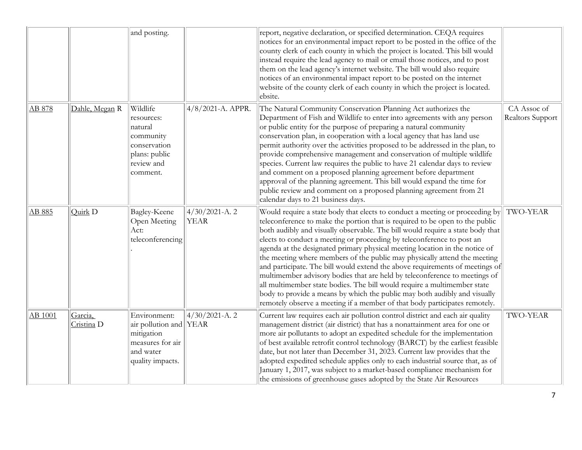|         |                                  | and posting.                                                                                              |                                | report, negative declaration, or specified determination. CEQA requires<br>notices for an environmental impact report to be posted in the office of the<br>county clerk of each county in which the project is located. This bill would<br>instead require the lead agency to mail or email those notices, and to post<br>them on the lead agency's internet website. The bill would also require<br>notices of an environmental impact report to be posted on the internet<br>website of the county clerk of each county in which the project is located.<br>ebsite.                                                                                                                                                                                                                                                                                                                     |                                        |
|---------|----------------------------------|-----------------------------------------------------------------------------------------------------------|--------------------------------|-------------------------------------------------------------------------------------------------------------------------------------------------------------------------------------------------------------------------------------------------------------------------------------------------------------------------------------------------------------------------------------------------------------------------------------------------------------------------------------------------------------------------------------------------------------------------------------------------------------------------------------------------------------------------------------------------------------------------------------------------------------------------------------------------------------------------------------------------------------------------------------------|----------------------------------------|
| AB 878  | Dahle, Megan R                   | Wildlife<br>resources:<br>natural<br>community<br>conservation<br>plans: public<br>review and<br>comment. | 4/8/2021-A. APPR.              | The Natural Community Conservation Planning Act authorizes the<br>Department of Fish and Wildlife to enter into agreements with any person<br>or public entity for the purpose of preparing a natural community<br>conservation plan, in cooperation with a local agency that has land use<br>permit authority over the activities proposed to be addressed in the plan, to<br>provide comprehensive management and conservation of multiple wildlife<br>species. Current law requires the public to have 21 calendar days to review<br>and comment on a proposed planning agreement before department<br>approval of the planning agreement. This bill would expand the time for<br>public review and comment on a proposed planning agreement from 21<br>calendar days to 21 business days.                                                                                             | CA Assoc of<br><b>Realtors Support</b> |
| AB 885  | Quirk <sub>D</sub>               | <b>Bagley-Keene</b><br>Open Meeting<br>Act:<br>teleconferencing                                           | $4/30/2021-A.2$<br><b>YEAR</b> | Would require a state body that elects to conduct a meeting or proceeding by<br>teleconference to make the portion that is required to be open to the public<br>both audibly and visually observable. The bill would require a state body that<br>elects to conduct a meeting or proceeding by teleconference to post an<br>agenda at the designated primary physical meeting location in the notice of<br>the meeting where members of the public may physically attend the meeting<br>and participate. The bill would extend the above requirements of meetings of<br>multimember advisory bodies that are held by teleconference to meetings of<br>all multimember state bodies. The bill would require a multimember state<br>body to provide a means by which the public may both audibly and visually<br>remotely observe a meeting if a member of that body participates remotely. | TWO-YEAR                               |
| AB 1001 | Garcia,<br>Cristina <sub>D</sub> | Environment:<br>air pollution and YEAR<br>mitigation<br>measures for air<br>and water<br>quality impacts. | $4/30/2021-A.2$                | Current law requires each air pollution control district and each air quality<br>management district (air district) that has a nonattainment area for one or<br>more air pollutants to adopt an expedited schedule for the implementation<br>of best available retrofit control technology (BARCT) by the earliest feasible<br>date, but not later than December 31, 2023. Current law provides that the<br>adopted expedited schedule applies only to each industrial source that, as of<br>January 1, 2017, was subject to a market-based compliance mechanism for<br>the emissions of greenhouse gases adopted by the State Air Resources                                                                                                                                                                                                                                              | TWO-YEAR                               |

7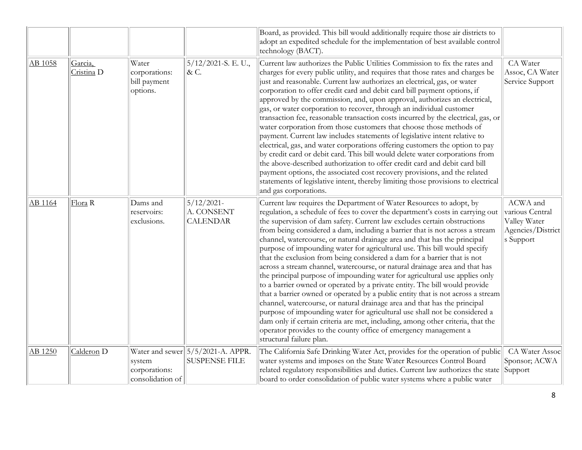|         |                                  |                                                    |                                                                                      | Board, as provided. This bill would additionally require those air districts to<br>adopt an expedited schedule for the implementation of best available control<br>technology (BACT).                                                                                                                                                                                                                                                                                                                                                                                                                                                                                                                                                                                                                                                                                                                                                                                                                                                                                                                                                                                                                                                |                                                                               |
|---------|----------------------------------|----------------------------------------------------|--------------------------------------------------------------------------------------|--------------------------------------------------------------------------------------------------------------------------------------------------------------------------------------------------------------------------------------------------------------------------------------------------------------------------------------------------------------------------------------------------------------------------------------------------------------------------------------------------------------------------------------------------------------------------------------------------------------------------------------------------------------------------------------------------------------------------------------------------------------------------------------------------------------------------------------------------------------------------------------------------------------------------------------------------------------------------------------------------------------------------------------------------------------------------------------------------------------------------------------------------------------------------------------------------------------------------------------|-------------------------------------------------------------------------------|
| AB 1058 | Garcia,<br>Cristina <sub>D</sub> | Water<br>corporations:<br>bill payment<br>options. | 5/12/2021-S. E. U.,<br>& C.                                                          | Current law authorizes the Public Utilities Commission to fix the rates and<br>charges for every public utility, and requires that those rates and charges be<br>just and reasonable. Current law authorizes an electrical, gas, or water<br>corporation to offer credit card and debit card bill payment options, if<br>approved by the commission, and, upon approval, authorizes an electrical,<br>gas, or water corporation to recover, through an individual customer<br>transaction fee, reasonable transaction costs incurred by the electrical, gas, or<br>water corporation from those customers that choose those methods of<br>payment. Current law includes statements of legislative intent relative to<br>electrical, gas, and water corporations offering customers the option to pay<br>by credit card or debit card. This bill would delete water corporations from<br>the above-described authorization to offer credit card and debit card bill<br>payment options, the associated cost recovery provisions, and the related<br>statements of legislative intent, thereby limiting those provisions to electrical<br>and gas corporations.                                                                        | CA Water<br>Assoc, CA Water<br>Service Support                                |
| AB 1164 | Flora R                          | Dams and<br>reservoirs:<br>exclusions.             | $5/12/2021$ -<br>A. CONSENT<br><b>CALENDAR</b>                                       | Current law requires the Department of Water Resources to adopt, by<br>regulation, a schedule of fees to cover the department's costs in carrying out<br>the supervision of dam safety. Current law excludes certain obstructions<br>from being considered a dam, including a barrier that is not across a stream<br>channel, watercourse, or natural drainage area and that has the principal<br>purpose of impounding water for agricultural use. This bill would specify<br>that the exclusion from being considered a dam for a barrier that is not<br>across a stream channel, watercourse, or natural drainage area and that has<br>the principal purpose of impounding water for agricultural use applies only<br>to a barrier owned or operated by a private entity. The bill would provide<br>that a barrier owned or operated by a public entity that is not across a stream<br>channel, watercourse, or natural drainage area and that has the principal<br>purpose of impounding water for agricultural use shall not be considered a<br>dam only if certain criteria are met, including, among other criteria, that the<br>operator provides to the county office of emergency management a<br>structural failure plan. | ACWA and<br>various Central<br>Valley Water<br>Agencies/District<br>s Support |
| AB 1250 | Calderon D                       | system<br>corporations:<br>consolidation of        | Water and sewer $\left  \frac{5}{5} \right $ 5/2021-A. APPR.<br><b>SUSPENSE FILE</b> | The California Safe Drinking Water Act, provides for the operation of public<br>water systems and imposes on the State Water Resources Control Board<br>related regulatory responsibilities and duties. Current law authorizes the state<br>board to order consolidation of public water systems where a public water                                                                                                                                                                                                                                                                                                                                                                                                                                                                                                                                                                                                                                                                                                                                                                                                                                                                                                                | CA Water Assoc<br>Sponsor; ACWA<br>Support                                    |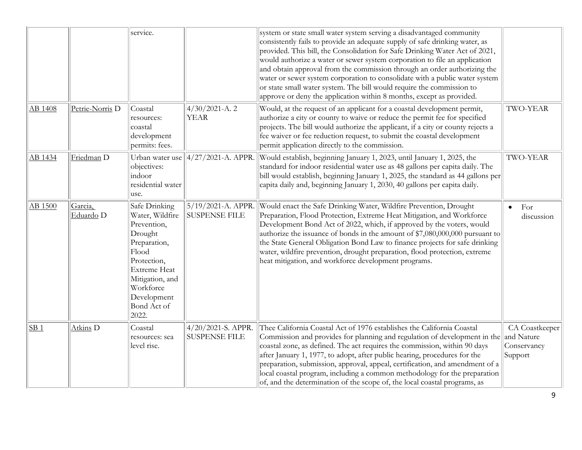|                 |                            | service.                                                                                                                                                                                         |                                               | system or state small water system serving a disadvantaged community<br>consistently fails to provide an adequate supply of safe drinking water, as<br>provided. This bill, the Consolidation for Safe Drinking Water Act of 2021,<br>would authorize a water or sewer system corporation to file an application<br>and obtain approval from the commission through an order authorizing the<br>water or sewer system corporation to consolidate with a public water system<br>or state small water system. The bill would require the commission to<br>approve or deny the application within 8 months, except as provided. |                                                        |
|-----------------|----------------------------|--------------------------------------------------------------------------------------------------------------------------------------------------------------------------------------------------|-----------------------------------------------|------------------------------------------------------------------------------------------------------------------------------------------------------------------------------------------------------------------------------------------------------------------------------------------------------------------------------------------------------------------------------------------------------------------------------------------------------------------------------------------------------------------------------------------------------------------------------------------------------------------------------|--------------------------------------------------------|
| AB 1408         | Petrie-Norris <sub>D</sub> | Coastal<br>resources:<br>coastal<br>development<br>permits: fees.                                                                                                                                | $4/30/2021-A.2$<br><b>YEAR</b>                | Would, at the request of an applicant for a coastal development permit,<br>authorize a city or county to waive or reduce the permit fee for specified<br>projects. The bill would authorize the applicant, if a city or county rejects a<br>fee waiver or fee reduction request, to submit the coastal development<br>permit application directly to the commission.                                                                                                                                                                                                                                                         | TWO-YEAR                                               |
| AB 1434         | Friedman <sub>D</sub>      | objectives:<br>indoor<br>residential water<br>use.                                                                                                                                               | Urban water use $  4/27/2021$ -A. APPR.       | Would establish, beginning January 1, 2023, until January 1, 2025, the<br>standard for indoor residential water use as 48 gallons per capita daily. The<br>bill would establish, beginning January 1, 2025, the standard as 44 gallons per<br>capita daily and, beginning January 1, 2030, 40 gallons per capita daily.                                                                                                                                                                                                                                                                                                      | TWO-YEAR                                               |
| AB 1500         | Garcia,<br>Eduardo D       | Safe Drinking<br>Water, Wildfire<br>Prevention,<br>Drought<br>Preparation,<br>Flood<br>Protection,<br><b>Extreme Heat</b><br>Mitigation, and<br>Workforce<br>Development<br>Bond Act of<br>2022. | $5/19/2021$ -A. APPR.<br><b>SUSPENSE FILE</b> | Would enact the Safe Drinking Water, Wildfire Prevention, Drought<br>Preparation, Flood Protection, Extreme Heat Mitigation, and Workforce<br>Development Bond Act of 2022, which, if approved by the voters, would<br>authorize the issuance of bonds in the amount of \$7,080,000,000 pursuant to<br>the State General Obligation Bond Law to finance projects for safe drinking<br>water, wildfire prevention, drought preparation, flood protection, extreme<br>heat mitigation, and workforce development programs.                                                                                                     | For<br>$\bullet$<br>discussion                         |
| SB <sub>1</sub> | Atkins <sub>D</sub>        | Coastal<br>resources: sea<br>level rise.                                                                                                                                                         | $4/20/2021$ -S. APPR.<br><b>SUSPENSE FILE</b> | Thee California Coastal Act of 1976 establishes the California Coastal<br>Commission and provides for planning and regulation of development in the<br>coastal zone, as defined. The act requires the commission, within 90 days<br>after January 1, 1977, to adopt, after public hearing, procedures for the<br>preparation, submission, approval, appeal, certification, and amendment of a<br>local coastal program, including a common methodology for the preparation<br>of, and the determination of the scope of, the local coastal programs, as                                                                      | CA Coastkeeper<br>and Nature<br>Conservancy<br>Support |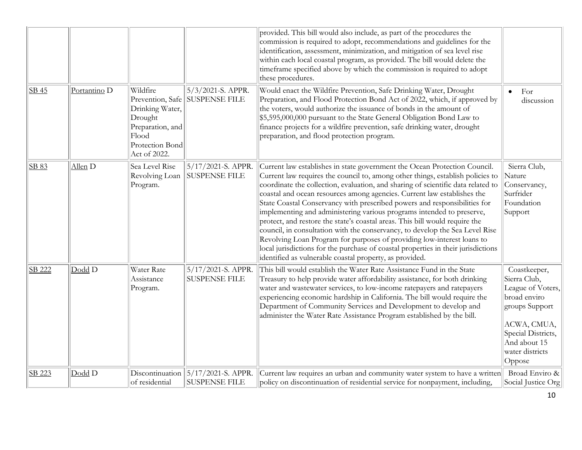|        |              |                                                                                                                            |                                               | provided. This bill would also include, as part of the procedures the<br>commission is required to adopt, recommendations and guidelines for the<br>identification, assessment, minimization, and mitigation of sea level rise<br>within each local coastal program, as provided. The bill would delete the<br>timeframe specified above by which the commission is required to adopt<br>these procedures.                                                                                                                                                                                                                                                                                                                                                                                                                                                                |                                                                                                                                                                       |
|--------|--------------|----------------------------------------------------------------------------------------------------------------------------|-----------------------------------------------|---------------------------------------------------------------------------------------------------------------------------------------------------------------------------------------------------------------------------------------------------------------------------------------------------------------------------------------------------------------------------------------------------------------------------------------------------------------------------------------------------------------------------------------------------------------------------------------------------------------------------------------------------------------------------------------------------------------------------------------------------------------------------------------------------------------------------------------------------------------------------|-----------------------------------------------------------------------------------------------------------------------------------------------------------------------|
| SB45   | Portantino D | Wildfire<br>Prevention, Safe<br>Drinking Water,<br>Drought<br>Preparation, and<br>Flood<br>Protection Bond<br>Act of 2022. | 5/3/2021-S. APPR.<br><b>SUSPENSE FILE</b>     | Would enact the Wildfire Prevention, Safe Drinking Water, Drought<br>Preparation, and Flood Protection Bond Act of 2022, which, if approved by<br>the voters, would authorize the issuance of bonds in the amount of<br>\$5,595,000,000 pursuant to the State General Obligation Bond Law to<br>finance projects for a wildfire prevention, safe drinking water, drought<br>preparation, and flood protection program.                                                                                                                                                                                                                                                                                                                                                                                                                                                    | For<br>$\bullet$<br>discussion                                                                                                                                        |
| SB 83  | Allen D      | Sea Level Rise<br>Revolving Loan<br>Program.                                                                               | 5/17/2021-S. APPR.<br><b>SUSPENSE FILE</b>    | Current law establishes in state government the Ocean Protection Council.<br>Current law requires the council to, among other things, establish policies to<br>coordinate the collection, evaluation, and sharing of scientific data related to<br>coastal and ocean resources among agencies. Current law establishes the<br>State Coastal Conservancy with prescribed powers and responsibilities for<br>implementing and administering various programs intended to preserve,<br>protect, and restore the state's coastal areas. This bill would require the<br>council, in consultation with the conservancy, to develop the Sea Level Rise<br>Revolving Loan Program for purposes of providing low-interest loans to<br>local jurisdictions for the purchase of coastal properties in their jurisdictions<br>identified as vulnerable coastal property, as provided. | Sierra Club,<br>Nature<br>Conservancy,<br>Surfrider<br>Foundation<br>Support                                                                                          |
| SB 222 | Dodd D       | Water Rate<br>Assistance<br>Program.                                                                                       | 5/17/2021-S. APPR.<br><b>SUSPENSE FILE</b>    | This bill would establish the Water Rate Assistance Fund in the State<br>Treasury to help provide water affordability assistance, for both drinking<br>water and wastewater services, to low-income ratepayers and ratepayers<br>experiencing economic hardship in California. The bill would require the<br>Department of Community Services and Development to develop and<br>administer the Water Rate Assistance Program established by the bill.                                                                                                                                                                                                                                                                                                                                                                                                                     | Coastkeeper,<br>Sierra Club,<br>League of Voters,<br>broad enviro<br>groups Support<br>ACWA, CMUA,<br>Special Districts,<br>And about 15<br>water districts<br>Oppose |
| SB 223 | Dodd D       | Discontinuation  <br>of residential                                                                                        | $5/17/2021$ -S. APPR.<br><b>SUSPENSE FILE</b> | Current law requires an urban and community water system to have a written<br>policy on discontinuation of residential service for nonpayment, including,                                                                                                                                                                                                                                                                                                                                                                                                                                                                                                                                                                                                                                                                                                                 | Broad Enviro &<br>Social Justice Org                                                                                                                                  |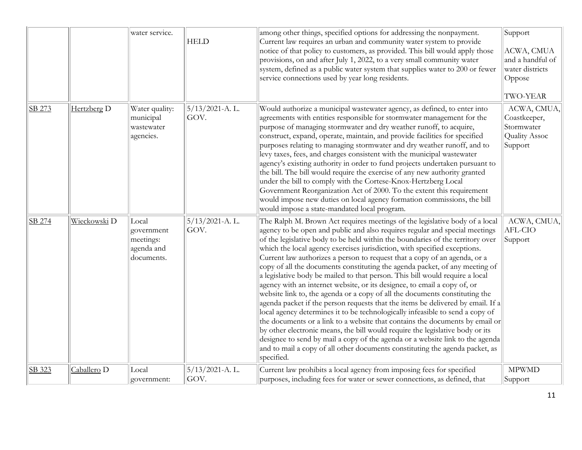|        |                        | water service.                                               | <b>HELD</b>               | among other things, specified options for addressing the nonpayment.<br>Current law requires an urban and community water system to provide<br>notice of that policy to customers, as provided. This bill would apply those<br>provisions, on and after July 1, 2022, to a very small community water<br>system, defined as a public water system that supplies water to 200 or fewer<br>service connections used by year long residents.                                                                                                                                                                                                                                                                                                                                                                                                                                                                                                                                                                                                                                                                                                                                                                                                            | Support<br>ACWA, CMUA<br>and a handful of<br>water districts<br>Oppose<br>TWO-YEAR |
|--------|------------------------|--------------------------------------------------------------|---------------------------|------------------------------------------------------------------------------------------------------------------------------------------------------------------------------------------------------------------------------------------------------------------------------------------------------------------------------------------------------------------------------------------------------------------------------------------------------------------------------------------------------------------------------------------------------------------------------------------------------------------------------------------------------------------------------------------------------------------------------------------------------------------------------------------------------------------------------------------------------------------------------------------------------------------------------------------------------------------------------------------------------------------------------------------------------------------------------------------------------------------------------------------------------------------------------------------------------------------------------------------------------|------------------------------------------------------------------------------------|
| SB 273 | Hertzberg D            | Water quality:<br>municipal<br>wastewater<br>agencies.       | $5/13/2021$ -A.L.<br>GOV. | Would authorize a municipal wastewater agency, as defined, to enter into<br>agreements with entities responsible for stormwater management for the<br>purpose of managing stormwater and dry weather runoff, to acquire,<br>construct, expand, operate, maintain, and provide facilities for specified<br>purposes relating to managing stormwater and dry weather runoff, and to<br>levy taxes, fees, and charges consistent with the municipal wastewater<br>agency's existing authority in order to fund projects undertaken pursuant to<br>the bill. The bill would require the exercise of any new authority granted<br>under the bill to comply with the Cortese-Knox-Hertzberg Local<br>Government Reorganization Act of 2000. To the extent this requirement<br>would impose new duties on local agency formation commissions, the bill<br>would impose a state-mandated local program.                                                                                                                                                                                                                                                                                                                                                      | ACWA, CMUA,<br>Coastkeeper,<br>Stormwater<br><b>Quality Assoc</b><br>Support       |
| SB 274 | Wieckowski D           | Local<br>government<br>meetings:<br>agenda and<br>documents. | $5/13/2021$ -A.L.<br>GOV. | The Ralph M. Brown Act requires meetings of the legislative body of a local<br>agency to be open and public and also requires regular and special meetings<br>of the legislative body to be held within the boundaries of the territory over<br>which the local agency exercises jurisdiction, with specified exceptions.<br>Current law authorizes a person to request that a copy of an agenda, or a<br>copy of all the documents constituting the agenda packet, of any meeting of<br>a legislative body be mailed to that person. This bill would require a local<br>agency with an internet website, or its designee, to email a copy of, or<br>website link to, the agenda or a copy of all the documents constituting the<br>agenda packet if the person requests that the items be delivered by email. If a<br>local agency determines it to be technologically infeasible to send a copy of<br>the documents or a link to a website that contains the documents by email or<br>by other electronic means, the bill would require the legislative body or its<br>designee to send by mail a copy of the agenda or a website link to the agenda<br>and to mail a copy of all other documents constituting the agenda packet, as<br>specified. | ACWA, CMUA,<br>AFL-CIO<br>Support                                                  |
| SB 323 | Caballero <sub>D</sub> | Local<br>government:                                         | $5/13/2021$ -A.L.<br>GOV. | Current law prohibits a local agency from imposing fees for specified<br>purposes, including fees for water or sewer connections, as defined, that                                                                                                                                                                                                                                                                                                                                                                                                                                                                                                                                                                                                                                                                                                                                                                                                                                                                                                                                                                                                                                                                                                   | <b>MPWMD</b><br>Support                                                            |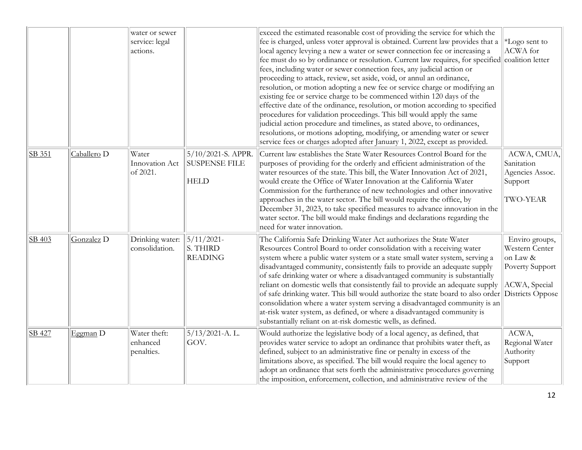|        |                        | water or sewer<br>service: legal<br>actions. |                                                           | exceed the estimated reasonable cost of providing the service for which the<br>fee is charged, unless voter approval is obtained. Current law provides that a<br>local agency levying a new a water or sewer connection fee or increasing a<br>fee must do so by ordinance or resolution. Current law requires, for specified<br>fees, including water or sewer connection fees, any judicial action or<br>proceeding to attack, review, set aside, void, or annul an ordinance,<br>resolution, or motion adopting a new fee or service charge or modifying an<br>existing fee or service charge to be commenced within 120 days of the<br>effective date of the ordinance, resolution, or motion according to specified<br>procedures for validation proceedings. This bill would apply the same<br>judicial action procedure and timelines, as stated above, to ordinances,<br>resolutions, or motions adopting, modifying, or amending water or sewer<br>service fees or charges adopted after January 1, 2022, except as provided. | *Logo sent to<br>ACWA for<br>coalition letter                                           |
|--------|------------------------|----------------------------------------------|-----------------------------------------------------------|----------------------------------------------------------------------------------------------------------------------------------------------------------------------------------------------------------------------------------------------------------------------------------------------------------------------------------------------------------------------------------------------------------------------------------------------------------------------------------------------------------------------------------------------------------------------------------------------------------------------------------------------------------------------------------------------------------------------------------------------------------------------------------------------------------------------------------------------------------------------------------------------------------------------------------------------------------------------------------------------------------------------------------------|-----------------------------------------------------------------------------------------|
| SB 351 | Caballero <sub>D</sub> | Water<br>Innovation Act<br>of 2021.          | 5/10/2021-S. APPR.<br><b>SUSPENSE FILE</b><br><b>HELD</b> | Current law establishes the State Water Resources Control Board for the<br>purposes of providing for the orderly and efficient administration of the<br>water resources of the state. This bill, the Water Innovation Act of 2021,<br>would create the Office of Water Innovation at the California Water<br>Commission for the furtherance of new technologies and other innovative<br>approaches in the water sector. The bill would require the office, by<br>December 31, 2023, to take specified measures to advance innovation in the<br>water sector. The bill would make findings and declarations regarding the<br>need for water innovation.                                                                                                                                                                                                                                                                                                                                                                                 | ACWA, CMUA,<br>Sanitation<br>Agencies Assoc.<br>Support<br><b>TWO-YEAR</b>              |
| SB 403 | Gonzalez <sub>D</sub>  | Drinking water:<br>consolidation.            | $5/11/2021$ -<br>S. THIRD<br><b>READING</b>               | The California Safe Drinking Water Act authorizes the State Water<br>Resources Control Board to order consolidation with a receiving water<br>system where a public water system or a state small water system, serving a<br>disadvantaged community, consistently fails to provide an adequate supply<br>of safe drinking water or where a disadvantaged community is substantially<br>reliant on domestic wells that consistently fail to provide an adequate supply<br>of safe drinking water. This bill would authorize the state board to also order Districts Oppose<br>consolidation where a water system serving a disadvantaged community is an<br>at-risk water system, as defined, or where a disadvantaged community is<br>substantially reliant on at-risk domestic wells, as defined.                                                                                                                                                                                                                                    | Enviro groups,<br>Western Center<br>on Law &<br><b>Poverty Support</b><br>ACWA, Special |
| SB 427 | Eggman <sub>D</sub>    | Water theft:<br>enhanced<br>penalties.       | $5/13/2021$ -A.L.<br>GOV.                                 | Would authorize the legislative body of a local agency, as defined, that<br>provides water service to adopt an ordinance that prohibits water theft, as<br>defined, subject to an administrative fine or penalty in excess of the<br>limitations above, as specified. The bill would require the local agency to<br>adopt an ordinance that sets forth the administrative procedures governing<br>the imposition, enforcement, collection, and administrative review of the                                                                                                                                                                                                                                                                                                                                                                                                                                                                                                                                                            | ACWA,<br>Regional Water<br>Authority<br>Support                                         |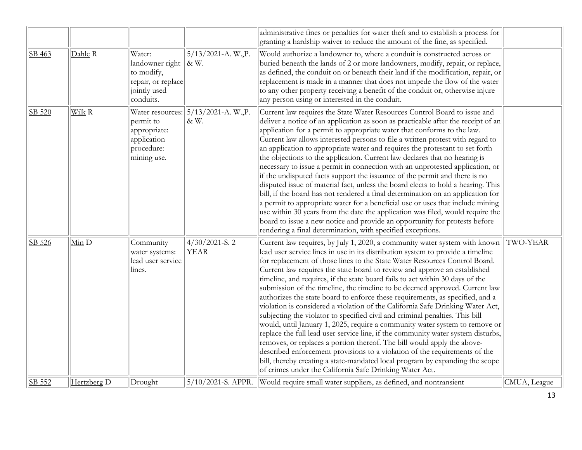|        |             |                                                                                            |                                                | administrative fines or penalties for water theft and to establish a process for<br>granting a hardship waiver to reduce the amount of the fine, as specified.                                                                                                                                                                                                                                                                                                                                                                                                                                                                                                                                                                                                                                                                                                                                                                                                                                                                                                                                                                                                                                                     |              |
|--------|-------------|--------------------------------------------------------------------------------------------|------------------------------------------------|--------------------------------------------------------------------------------------------------------------------------------------------------------------------------------------------------------------------------------------------------------------------------------------------------------------------------------------------------------------------------------------------------------------------------------------------------------------------------------------------------------------------------------------------------------------------------------------------------------------------------------------------------------------------------------------------------------------------------------------------------------------------------------------------------------------------------------------------------------------------------------------------------------------------------------------------------------------------------------------------------------------------------------------------------------------------------------------------------------------------------------------------------------------------------------------------------------------------|--------------|
| SB 463 | Dahle R     | Water:<br>landowner right<br>to modify,<br>repair, or replace<br>jointly used<br>conduits. | $5/13/2021-A.$ W., P.<br>$\&$ W.               | Would authorize a landowner to, where a conduit is constructed across or<br>buried beneath the lands of 2 or more landowners, modify, repair, or replace,<br>as defined, the conduit on or beneath their land if the modification, repair, or<br>replacement is made in a manner that does not impede the flow of the water<br>to any other property receiving a benefit of the conduit or, otherwise injure<br>any person using or interested in the conduit.                                                                                                                                                                                                                                                                                                                                                                                                                                                                                                                                                                                                                                                                                                                                                     |              |
| SB 520 | Wilk R      | permit to<br>appropriate:<br>application<br>procedure:<br>mining use.                      | Water resources:   5/13/2021-A. W., P.<br>& W. | Current law requires the State Water Resources Control Board to issue and<br>deliver a notice of an application as soon as practicable after the receipt of an<br>application for a permit to appropriate water that conforms to the law.<br>Current law allows interested persons to file a written protest with regard to<br>an application to appropriate water and requires the protestant to set forth<br>the objections to the application. Current law declares that no hearing is<br>necessary to issue a permit in connection with an unprotested application, or<br>if the undisputed facts support the issuance of the permit and there is no<br>disputed issue of material fact, unless the board elects to hold a hearing. This<br>bill, if the board has not rendered a final determination on an application for<br>a permit to appropriate water for a beneficial use or uses that include mining<br>use within 30 years from the date the application was filed, would require the<br>board to issue a new notice and provide an opportunity for protests before<br>rendering a final determination, with specified exceptions.                                                                   |              |
| SB 526 | Min D       | Community<br>water systems:<br>lead user service<br>lines.                                 | $4/30/2021-S.2$<br><b>YEAR</b>                 | Current law requires, by July 1, 2020, a community water system with known<br>lead user service lines in use in its distribution system to provide a timeline<br>for replacement of those lines to the State Water Resources Control Board.<br>Current law requires the state board to review and approve an established<br>timeline, and requires, if the state board fails to act within 30 days of the<br>submission of the timeline, the timeline to be deemed approved. Current law<br>authorizes the state board to enforce these requirements, as specified, and a<br>violation is considered a violation of the California Safe Drinking Water Act,<br>subjecting the violator to specified civil and criminal penalties. This bill<br>would, until January 1, 2025, require a community water system to remove or<br>replace the full lead user service line, if the community water system disturbs,<br>removes, or replaces a portion thereof. The bill would apply the above-<br>described enforcement provisions to a violation of the requirements of the<br>bill, thereby creating a state-mandated local program by expanding the scope<br>of crimes under the California Safe Drinking Water Act. | TWO-YEAR     |
| SB 552 | Hertzberg D | Drought                                                                                    | 5/10/2021-S. APPR.                             | Would require small water suppliers, as defined, and nontransient                                                                                                                                                                                                                                                                                                                                                                                                                                                                                                                                                                                                                                                                                                                                                                                                                                                                                                                                                                                                                                                                                                                                                  | CMUA, League |